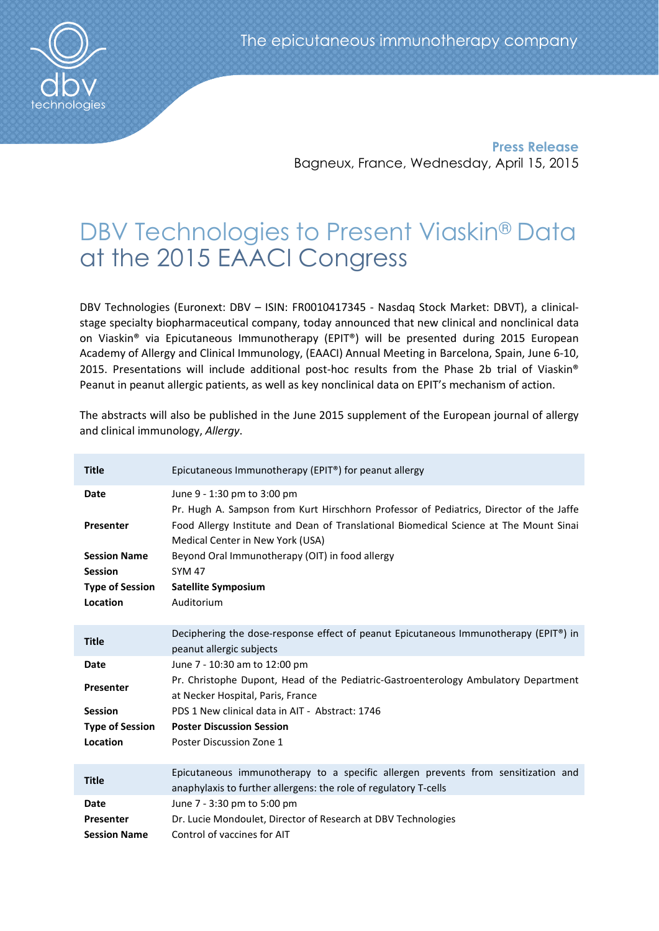

Press Release Bagneux, France, Wednesday, April 15, 2015

# DBV Technologies to Present Viaskin® Data at the 2015 EAACI Congress

DBV Technologies (Euronext: DBV – ISIN: FR0010417345 - Nasdaq Stock Market: DBVT), a clinicalstage specialty biopharmaceutical company, today announced that new clinical and nonclinical data on Viaskin® via Epicutaneous Immunotherapy (EPIT®) will be presented during 2015 European Academy of Allergy and Clinical Immunology, (EAACI) Annual Meeting in Barcelona, Spain, June 6-10, 2015. Presentations will include additional post-hoc results from the Phase 2b trial of Viaskin® Peanut in peanut allergic patients, as well as key nonclinical data on EPIT's mechanism of action.

| <b>Title</b>                                                                                            | Epicutaneous Immunotherapy (EPIT®) for peanut allergy                                                                                                                                                                                                                                                                                                                |
|---------------------------------------------------------------------------------------------------------|----------------------------------------------------------------------------------------------------------------------------------------------------------------------------------------------------------------------------------------------------------------------------------------------------------------------------------------------------------------------|
| <b>Date</b><br>Presenter<br><b>Session Name</b><br><b>Session</b><br><b>Type of Session</b><br>Location | June 9 - 1:30 pm to 3:00 pm<br>Pr. Hugh A. Sampson from Kurt Hirschhorn Professor of Pediatrics, Director of the Jaffe<br>Food Allergy Institute and Dean of Translational Biomedical Science at The Mount Sinai<br>Medical Center in New York (USA)<br>Beyond Oral Immunotherapy (OIT) in food allergy<br><b>SYM 47</b><br><b>Satellite Symposium</b><br>Auditorium |
| <b>Title</b>                                                                                            | Deciphering the dose-response effect of peanut Epicutaneous Immunotherapy (EPIT®) in<br>peanut allergic subjects                                                                                                                                                                                                                                                     |
| <b>Date</b><br>Presenter<br><b>Session</b><br><b>Type of Session</b><br>Location                        | June 7 - 10:30 am to 12:00 pm<br>Pr. Christophe Dupont, Head of the Pediatric-Gastroenterology Ambulatory Department<br>at Necker Hospital, Paris, France<br>PDS 1 New clinical data in AIT - Abstract: 1746<br><b>Poster Discussion Session</b><br>Poster Discussion Zone 1                                                                                         |
| <b>Title</b>                                                                                            | Epicutaneous immunotherapy to a specific allergen prevents from sensitization and<br>anaphylaxis to further allergens: the role of regulatory T-cells                                                                                                                                                                                                                |
| <b>Date</b><br>Presenter<br><b>Session Name</b>                                                         | June 7 - 3:30 pm to 5:00 pm<br>Dr. Lucie Mondoulet, Director of Research at DBV Technologies<br>Control of vaccines for AIT                                                                                                                                                                                                                                          |

The abstracts will also be published in the June 2015 supplement of the European journal of allergy and clinical immunology, *Allergy*.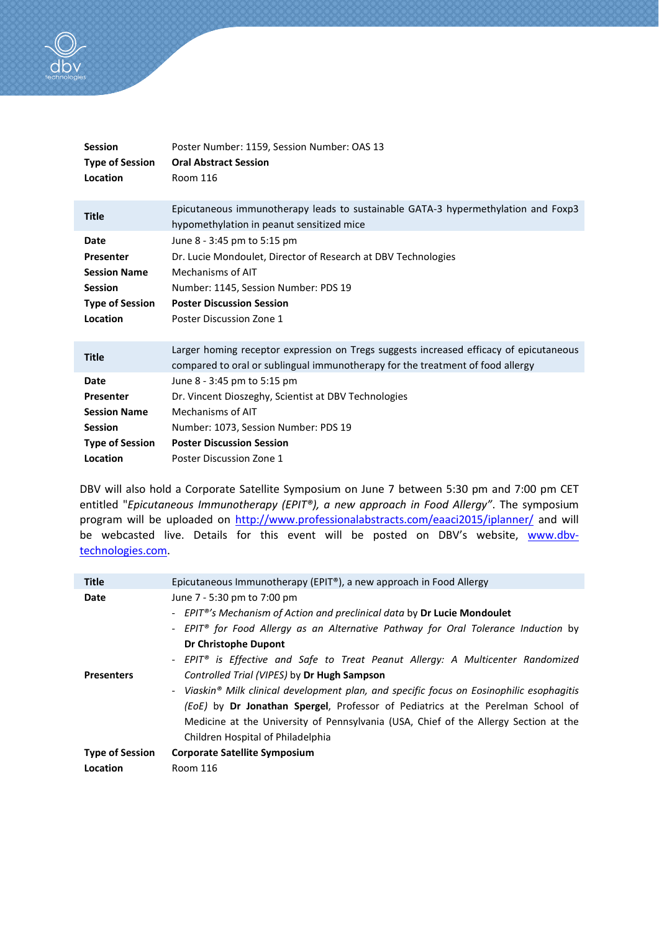

| <b>Session</b><br><b>Type of Session</b><br>Location | Poster Number: 1159, Session Number: OAS 13<br><b>Oral Abstract Session</b><br><b>Room 116</b>                                                                           |
|------------------------------------------------------|--------------------------------------------------------------------------------------------------------------------------------------------------------------------------|
|                                                      |                                                                                                                                                                          |
| <b>Title</b>                                         | Epicutaneous immunotherapy leads to sustainable GATA-3 hypermethylation and Foxp3<br>hypomethylation in peanut sensitized mice                                           |
| Date                                                 | June 8 - 3:45 pm to 5:15 pm                                                                                                                                              |
| Presenter                                            | Dr. Lucie Mondoulet, Director of Research at DBV Technologies                                                                                                            |
| <b>Session Name</b>                                  | Mechanisms of AIT                                                                                                                                                        |
| <b>Session</b>                                       | Number: 1145, Session Number: PDS 19                                                                                                                                     |
| <b>Type of Session</b>                               | <b>Poster Discussion Session</b>                                                                                                                                         |
| Location                                             | Poster Discussion Zone 1                                                                                                                                                 |
|                                                      |                                                                                                                                                                          |
| <b>Title</b>                                         | Larger homing receptor expression on Tregs suggests increased efficacy of epicutaneous<br>compared to oral or sublingual immunotherapy for the treatment of food allergy |
| <b>Date</b>                                          | June 8 - 3:45 pm to 5:15 pm                                                                                                                                              |
| Presenter                                            | Dr. Vincent Dioszeghy, Scientist at DBV Technologies                                                                                                                     |
| <b>Session Name</b>                                  | Mechanisms of AIT                                                                                                                                                        |
| <b>Session</b>                                       | Number: 1073, Session Number: PDS 19                                                                                                                                     |
| <b>Type of Session</b>                               | <b>Poster Discussion Session</b>                                                                                                                                         |
| Location                                             | Poster Discussion Zone 1                                                                                                                                                 |
|                                                      |                                                                                                                                                                          |

DBV will also hold a Corporate Satellite Symposium on June 7 between 5:30 pm and 7:00 pm CET entitled "*Epicutaneous Immunotherapy (EPIT®), a new approach in Food Allergy"*. The symposium program will be uploaded on http://www.professionalabstracts.com/eaaci2015/iplanner/ and will be webcasted live. Details for this event will be posted on DBV's website, www.dbvtechnologies.com.

| Epicutaneous Immunotherapy (EPIT®), a new approach in Food Allergy                        |
|-------------------------------------------------------------------------------------------|
| June 7 - 5:30 pm to 7:00 pm                                                               |
| - EPIT <sup>®'</sup> s Mechanism of Action and preclinical data by Dr Lucie Mondoulet     |
| - EPIT® for Food Allergy as an Alternative Pathway for Oral Tolerance Induction by        |
| Dr Christophe Dupont                                                                      |
| - EPIT® is Effective and Safe to Treat Peanut Allergy: A Multicenter Randomized           |
| Controlled Trial (VIPES) by Dr Hugh Sampson                                               |
| - Viaskin® Milk clinical development plan, and specific focus on Eosinophilic esophagitis |
| (EoE) by Dr Jonathan Spergel, Professor of Pediatrics at the Perelman School of           |
| Medicine at the University of Pennsylvania (USA, Chief of the Allergy Section at the      |
| Children Hospital of Philadelphia                                                         |
| <b>Corporate Satellite Symposium</b>                                                      |
| <b>Room 116</b>                                                                           |
|                                                                                           |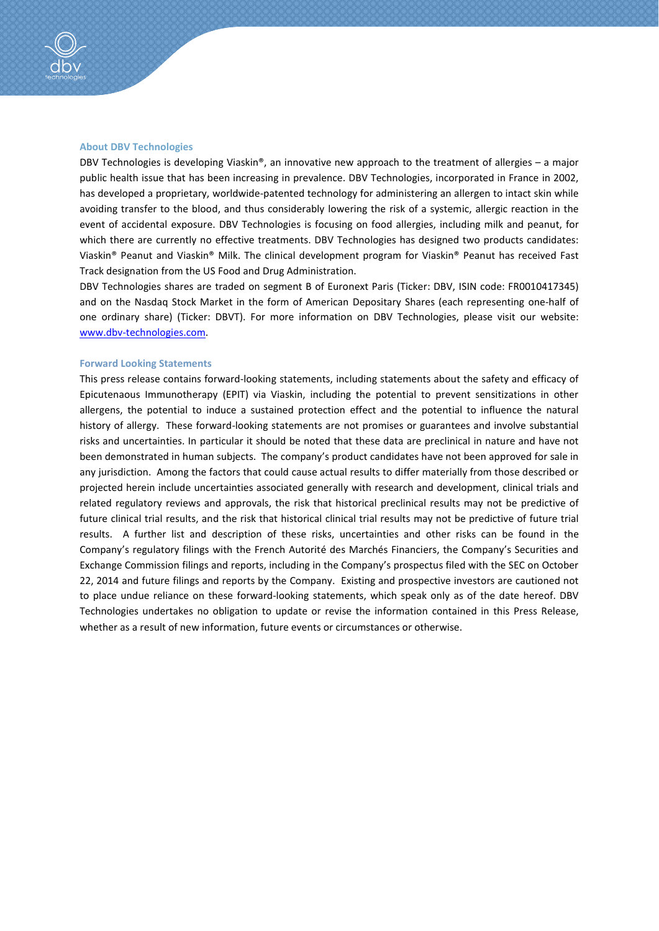

#### About DBV Technologies

DBV Technologies is developing Viaskin®, an innovative new approach to the treatment of allergies – a major public health issue that has been increasing in prevalence. DBV Technologies, incorporated in France in 2002, has developed a proprietary, worldwide-patented technology for administering an allergen to intact skin while avoiding transfer to the blood, and thus considerably lowering the risk of a systemic, allergic reaction in the event of accidental exposure. DBV Technologies is focusing on food allergies, including milk and peanut, for which there are currently no effective treatments. DBV Technologies has designed two products candidates: Viaskin® Peanut and Viaskin® Milk. The clinical development program for Viaskin® Peanut has received Fast Track designation from the US Food and Drug Administration.

DBV Technologies shares are traded on segment B of Euronext Paris (Ticker: DBV, ISIN code: FR0010417345) and on the Nasdaq Stock Market in the form of American Depositary Shares (each representing one-half of one ordinary share) (Ticker: DBVT). For more information on DBV Technologies, please visit our website: www.dbv-technologies.com.

#### Forward Looking Statements

This press release contains forward-looking statements, including statements about the safety and efficacy of Epicutenaous Immunotherapy (EPIT) via Viaskin, including the potential to prevent sensitizations in other allergens, the potential to induce a sustained protection effect and the potential to influence the natural history of allergy. These forward-looking statements are not promises or guarantees and involve substantial risks and uncertainties. In particular it should be noted that these data are preclinical in nature and have not been demonstrated in human subjects. The company's product candidates have not been approved for sale in any jurisdiction. Among the factors that could cause actual results to differ materially from those described or projected herein include uncertainties associated generally with research and development, clinical trials and related regulatory reviews and approvals, the risk that historical preclinical results may not be predictive of future clinical trial results, and the risk that historical clinical trial results may not be predictive of future trial results. A further list and description of these risks, uncertainties and other risks can be found in the Company's regulatory filings with the French Autorité des Marchés Financiers, the Company's Securities and Exchange Commission filings and reports, including in the Company's prospectus filed with the SEC on October 22, 2014 and future filings and reports by the Company. Existing and prospective investors are cautioned not to place undue reliance on these forward-looking statements, which speak only as of the date hereof. DBV Technologies undertakes no obligation to update or revise the information contained in this Press Release, whether as a result of new information, future events or circumstances or otherwise.